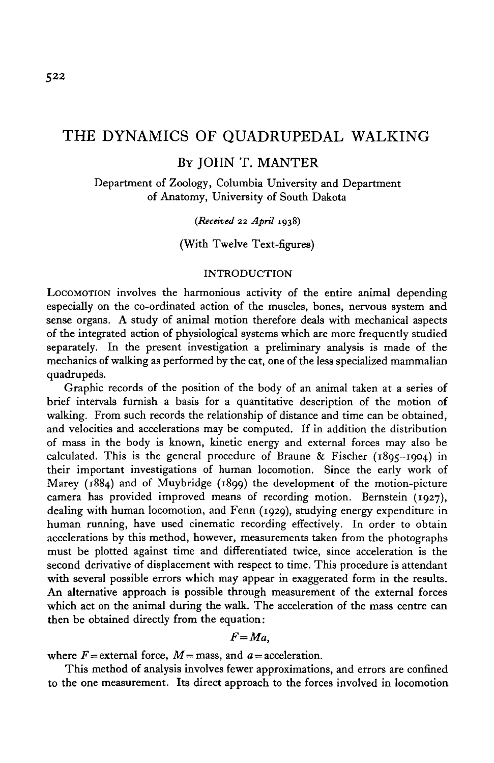## THE DYNAMICS OF QUADRUPEDAL WALKING

# BY JOHN T. MANTER

Department of Zoology, Columbia University and Department of Anatomy, University of South Dakota

### *(Received* 22 *April* 1938)

### (With Twelve Text-figures)

### INTRODUCTION

LOCOMOTION involves the harmonious activity of the entire animal depending especially on the co-ordinated action of the muscles, bones, nervous system and sense organs. A study of animal motion therefore deals with mechanical aspects of the integrated action of physiological systems which are more frequently studied separately. In the present investigation a preliminary analysis is made of the mechanics of walking as performed by the cat, one of the less specialized mammalian quadrupeds.

Graphic records of the position of the body of an animal taken at a series of brief intervals furnish a basis for a quantitative description of the motion of walking. From such records the relationship of distance and time can be obtained, and velocities and accelerations may be computed. If in addition the distribution of mass in the body is known, kinetic energy and external forces may also be calculated. This is the general procedure of Braune  $\&$  Fischer (1895-1904) in their important investigations of human locomotion. Since the early work of Marey (1884) and of Muybridge (1899) the development of the motion-picture camera has provided improved means of recording motion. Bernstein (1927), dealing with human locomotion, and Fenn (1929), studying energy expenditure in human running, have used cinematic recording effectively. In order to obtain accelerations by this method, however, measurements taken from the photographs must be plotted against time and differentiated twice, since acceleration is the second derivative of displacement with respect to time. This procedure is attendant with several possible errors which may appear in exaggerated form in the results. An alternative approach is possible through measurement of the external forces which act on the animal during the walk. The acceleration of the mass centre can then be obtained directly from the equation:

### *F=Ma,*

where  $F =$  external force,  $M =$  mass, and  $a =$  acceleration.

This method of analysis involves fewer approximations, and errors are confined to the one measurement. Its direct approach to the forces involved in locomotion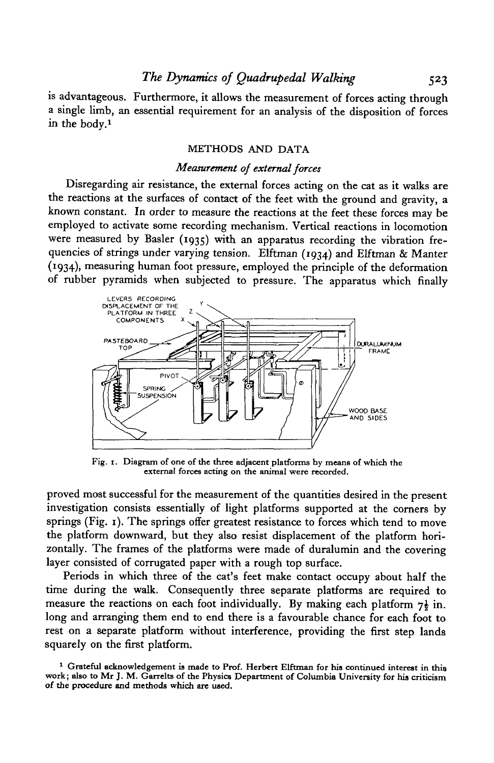is advantageous. Furthermore, it allows the measurement of forces acting through a single limb, an essential requirement for an analysis of the disposition of forces in the body.<sup>1</sup>

### METHODS AND DATA

### *Measurement of external forces*

Disregarding air resistance, the external forces acting on the cat as it walks are the reactions at the surfaces of contact of the feet with the ground and gravity, a known constant. In order to measure the reactions at the feet these forces may be employed to activate some recording mechanism. Vertical reactions in locomotion were measured by Basler (1935) with an apparatus recording the vibration frequencies of strings under varying tension. Elftman (1934) and Elftman & Manter ( J 934)> measuring human foot pressure, employed the principle of the deformation of rubber pyramids when subjected to pressure. The apparatus which finally



**Fig. r. Diagram of one of the three adjacent platforms by means of which the external forces acting on the animal were recorded.**

proved most successful for the measurement of the quantities desired in the present investigation consists essentially of light platforms supported at the corners by springs (Fig. 1). The springs offer greatest resistance to forces which tend to move the platform downward, but they also resist displacement of the platform horizontally. The frames of the platforms were made of duralumin and the covering layer consisted of corrugated paper with a rough top surface.

Periods in which three of the cat's feet make contact occupy about half the time during the walk. Consequently three separate platforms are required to measure the reactions on each foot individually. By making each platform  $7\frac{1}{6}$  in. long and arranging them end to end there is a favourable chance for each foot to rest on a separate platform without interference, providing the first step lands squarely on the first platform.

<sup>&</sup>lt;sup>1</sup> Grateful acknowledgement is made to Prof. Herbert Elftman for his continued interest in this work; also to Mr J. M. Garrelts of the Physics Department of Columbia University for his criticism of the procedure and metho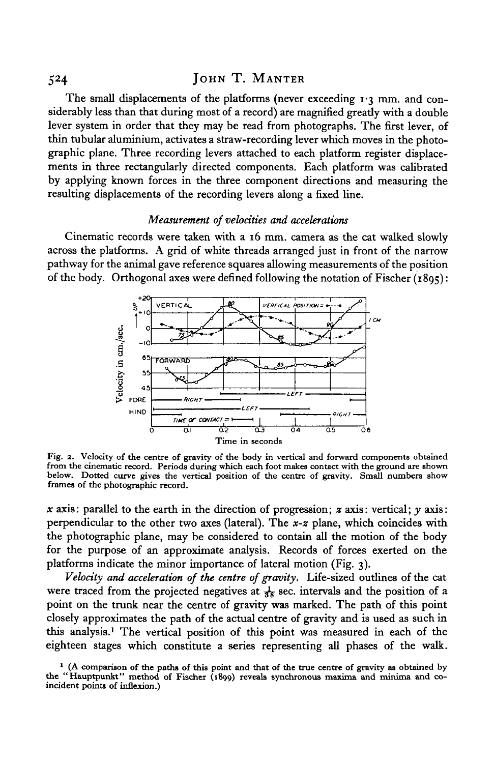### 524 JOHN T. MANTER

The small displacements of the platforms (never exceeding 1.3 mm. and considerably less than that during most of a record) are magnified greatly with a double lever system in order that they may be read from photographs. The first lever, of thin tubular aluminium, activates a straw-recording lever which moves in the photographic plane. Three recording levers attached to each platform register displacements in three rectangularly directed components. Each platform was calibrated by applying known forces in the three component directions and measuring the resulting displacements of the recording levers along a fixed line.

### *Measurement of velocities and accelerations*

Cinematic records were taken with a 16 mm. camera as the cat walked slowly across the platforms. A grid of white threads arranged just in front of the narrow pathway for the animal gave reference squares allowing measurements of the position of the body. Orthogonal axes were defined following the notation of Fischer  $(1895)$ :



Fig. 2. Velocity of the centre of gravity of the body in vertical and forward components obtained from the cinematic record. Periods during which each foot makes contact with the ground are shown<br>below. Dotted curve gives the vertical position of the centre of gravity. Small numbers show<br>frames of the photographic reco

*x* axis: parallel to the earth in the direction of progression; *z* axis: vertical; *y* axis: perpendicular to the other two axes (lateral). The *x-z* plane, which coincides with the photographic plane, may be considered to contain all the motion of the body for the purpose of an approximate analysis. Records of forces exerted on the platforms indicate the minor importance of lateral motion (Fig. 3).

*Velocity and acceleration of the centre of gravity.* Life-sized outlines of the cat were traced from the projected negatives at  $\frac{1}{36}$  sec. intervals and the position of a point on the trunk near the centre of gravity was marked. The path of this point closely approximates the path of the actual centre of gravity and is used as such in this analysis.1 The vertical position of this point was measured in each of the eighteen stages which constitute a series representing all phases of the walk.

<sup>&</sup>lt;sup>1</sup> (A comparison of the paths of this point and that of the true centre of gravity as obtained by the "Hauptpunkt" method of Fischer (1899) reveals synchronous maxima and minima and co- incident points of inflexion.)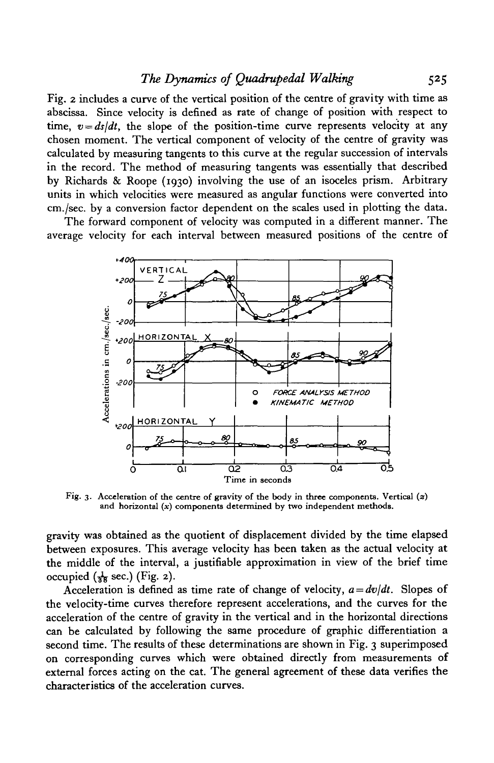## *The Dynamics of Quadrupedal Walking* 525

Fig. 2 includes a curve of the vertical position of the centre of gravity with time as abscissa. Since velocity is defined as rate of change of position with respect to time,  $v = ds/dt$ , the slope of the position-time curve represents velocity at any chosen moment. The vertical component of velocity of the centre of gravity was calculated by measuring tangents to this curve at the regular succession of intervals in the record. The method of measuring tangents was essentially that described by Richards & Roope (1930) involving the use of an isoceles prism. Arbitrary units in which velocities were measured as angular functions were converted into cm./sec. by a conversion factor dependent on the scales used in plotting the data.

The forward component of velocity was computed in a different manner. The average velocity for each interval between measured positions of the centre of



Fig. 3. Acceleration of the centre of gravity of the body in three components. Vertical *(z)* and horizontal  $(x)$  components determined by two independent methods.

gravity was obtained as the quotient of displacement divided by the time elapsed between exposures. This average velocity has been taken as the actual velocity at the middle of the interval, a justifiable approximation in view of the brief time occupied  $(\frac{1}{38} \text{ sec.})$  (Fig. 2).

Acceleration is defined as time rate of change of velocity,  $a = dv/dt$ . Slopes of the velocity-time curves therefore represent accelerations, and the curves for the acceleration of the centre of gravity in the vertical and in the horizontal directions can be calculated by following the same procedure of graphic differentiation a second time. The results of these determinations are shown in Fig. 3 superimposed on corresponding curves which were obtained directly from measurements of external forces acting on the cat. The general agreement of these data verifies the characteristics of the acceleration curves.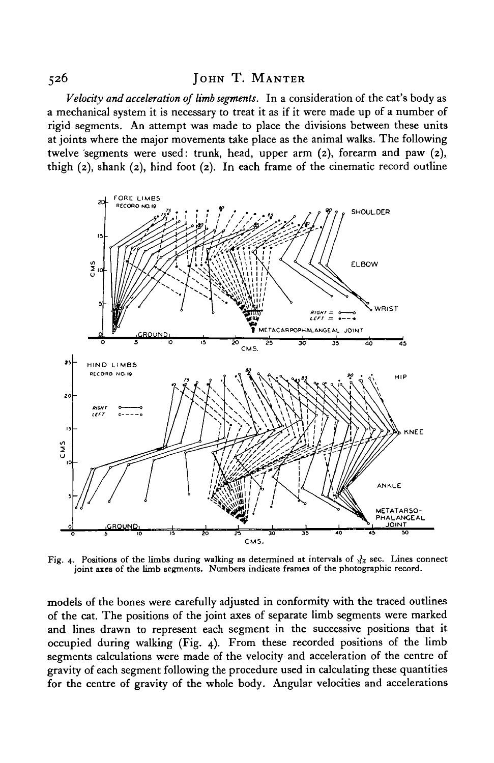*Velocity and acceleration of limb segments.* In a consideration of the cat's body as a mechanical system it is necessary to treat it as if it were made up of a number of rigid segments. An attempt was made to place the divisions between these units at joints where the major movements take place as the animal walks. The following twelve segments were used: trunk, head, upper arm (2), forearm and paw (2), thigh (2), shank (2), hind foot (2). In each frame of the cinematic record outline



Fig. 4. Positions of the limbs during walking as determined at intervals of  $\frac{1}{36}$  sec. Lines connect joint axes of the limb segments. Numbers indicate frames of the photographic record.

models of the bones were carefully adjusted in conformity with the traced outlines of the cat. The positions of the joint axes of separate limb segments were marked and lines drawn to represent each segment in the successive positions that it occupied during walking (Fig. 4). From these recorded positions of the limb segments calculations were made of the velocity and acceleration of the centre of gravity of each segment following the procedure used in calculating these quantities for the centre of gravity of the whole body. Angular velocities and accelerations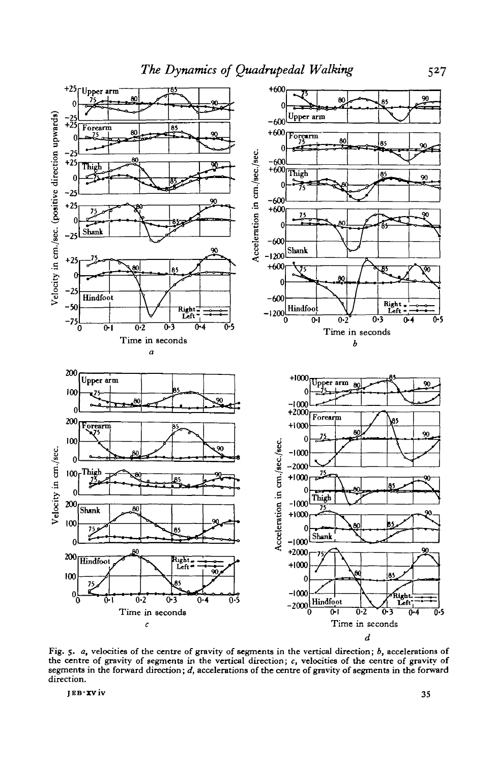

Fig. 5. *a,* velocities of the centre of gravity of segments in the vertical direction; *b,* accelerations of the centre of gravity of segments in the vertical direction; *c,* velocities of the centre of gravity of segments in the forward direction; *d,* accelerations of the centre of gravity of segments in the forward direction.

**JEB-XV1V** 35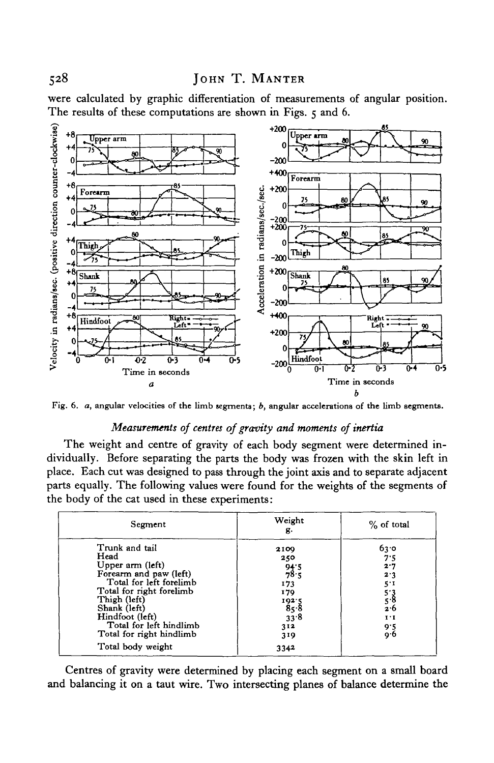were calculated by graphic differentiation of measurements of angular position. The results of these computations are shown in Figs. 5 and 6.



Fig. 6. *a,* angular velocities of the limb segments; *b,* angular accelerations of the limb segments.

### *Measurements of centres of gravity and moments of inertia*

The weight and centre of gravity of each body segment were determined individually. Before separating the parts the body was frozen with the skin left in place. Each cut was designed to pass through the joint axis and to separate adjacent parts equally. The following values were found for the weights of the segments of the body of the cat used in these experiments:

| Segment                                                                                                                                                                                                                               | Weight<br>д.                                                                           | % of total                                                                        |
|---------------------------------------------------------------------------------------------------------------------------------------------------------------------------------------------------------------------------------------|----------------------------------------------------------------------------------------|-----------------------------------------------------------------------------------|
| Trunk and tail<br>Head<br>Upper arm (left)<br>Forearm and paw (left)<br>Total for left forelimb<br>Total for right forelimb<br>Thigh (left)<br>Shank (left)<br>Hindfoot (left)<br>Total for left hindlimb<br>Total for right hindlimb | 2109<br>250<br>$\frac{94.5}{78.5}$<br>173<br>179<br>1925<br>85∙8<br>33.8<br>312<br>319 | 6ვ∙ი<br>7.5<br>2.7<br>2.3<br>5.1<br>$\frac{5.3}{5.8}$<br>2.6<br>1.1<br>9.5<br>9.6 |
| Total body weight                                                                                                                                                                                                                     | 3342                                                                                   |                                                                                   |

Centres of gravity were determined by placing each segment on a small board and balancing it on a taut wire. Two intersecting planes of balance determine the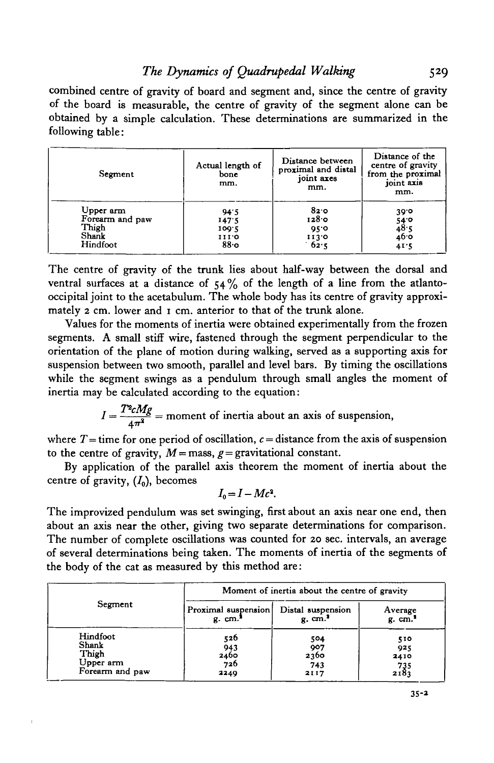## *The Dynamics of Quadrupedal Walking* 529

combined centre of gravity of board and segment and, since the centre of gravity of the board is measurable, the centre of gravity of the segment alone can be obtained by a simple calculation. These determinations are summarized in the following table:

| Segment         | Actual length of<br>bone<br>mm. | Distance between<br>proximal and distal<br>joint axes<br>mm. | Distance of the<br>centre of gravity<br>from the proximal<br>joint axis<br>mm. |
|-----------------|---------------------------------|--------------------------------------------------------------|--------------------------------------------------------------------------------|
| Upper arm       | 94.5                            | 82.0                                                         | 30.0                                                                           |
| Forearm and paw | 147.5                           | 1280                                                         | $54^\circ$                                                                     |
| Thigh           | 109.5                           | 95.0                                                         | 48.5                                                                           |
| Shank           | 111.0                           | 1130                                                         | 46.0                                                                           |
| Hindfoot        | 88.0                            | 62.5                                                         | 41.5                                                                           |

The centre of gravity of the trunk lies about half-way between the dorsal and ventral surfaces at a distance of  $54\%$  of the length of a line from the atlantooccipital joint to the acetabulum. The whole body has its centre of gravity approximately 2 cm. lower and 1 cm. anterior to that of the trunk alone.

Values for the moments of inertia were obtained experimentally from the frozen segments. A small stiff wire, fastened through the segment perpendicular to the orientation of the plane of motion during walking, served as a supporting axis for suspension between two smooth, parallel and level bars. By timing the oscillations while the segment swings as a pendulum through small angles the moment of inertia may be calculated according to the equation:

 $I = \frac{T^2 c M g}{4\pi^2}$  = moment of inertia about an axis of suspension,

where  $T =$  time for one period of oscillation,  $c =$  distance from the axis of suspension to the centre of gravity,  $M =$ mass,  $g =$  gravitational constant.

By application of the parallel axis theorem the moment of inertia about the centre of gravity,  $(I_0)$ , becomes

$$
I_0 = I - Mc^2.
$$

The improvized pendulum was set swinging, first about an axis near one end, then about an axis near the other, giving two separate determinations for comparison. The number of complete oscillations was counted for 20 sec. intervals, an average of several determinations being taken. The moments of inertia of the segments of the body of the cat as measured by this method are:

|                 |                     | Moment of inertia about the centre of gravity |                       |  |  |
|-----------------|---------------------|-----------------------------------------------|-----------------------|--|--|
| Segment         | Proximal suspension | Distal suspension                             | Average               |  |  |
|                 | g cm.               | $g.$ cm. <sup>3</sup>                         | $g.$ cm. <sup>1</sup> |  |  |
| Hindfoot        | 526                 | 504                                           | 510                   |  |  |
| Shank           | 943                 | 907                                           | 925                   |  |  |
| Thigh           | 2460                | 2360                                          | 2410                  |  |  |
| Upper arm       | 726                 | 743                                           | 735                   |  |  |
| Forearm and paw | 2240                | 2117                                          | 2183                  |  |  |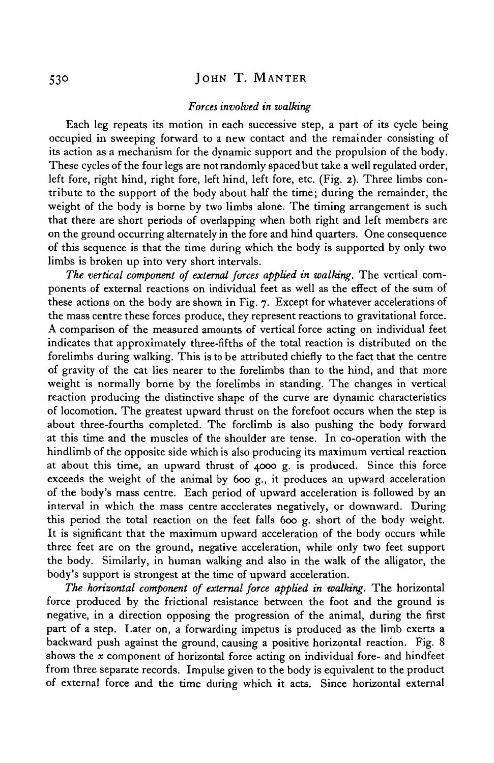### 530 JOHN T. MANTER

#### *Forces involved in walking*

Each leg repeats its motion in each successive step, a part of its cycle being occupied in sweeping forward to a new contact and the remainder consisting of its action as a mechanism for the dynamic support and the propulsion of the body. These cycles of the four legs are not randomly spaced but take a well regulated order, left fore, right hind, right fore, left hind, left fore, etc. (Fig. 2). Three limbs contribute to the support of the body about half the time; during the remainder, the weight of the body is borne by two limbs alone. The timing arrangement is such that there are short periods of overlapping when both right and left members are on the ground occurring alternately in the fore and hind quarters. One consequence of this sequence is that the time during which the body is supported by only two limbs is broken up into very short intervals.

*The vertical component of external forces applied in walking.* The vertical components of external reactions on individual feet as well as the effect of the sum of these actions on the body are shown in Fig. 7. Except for whatever accelerations of the mass centre these forces produce, they represent reactions to gravitational force. A comparison of the measured amounts of vertical force acting on individual feet indicates that approximately three-fifths of the total reaction is distributed on the forelimbs during walking. This is to be attributed chiefly to the fact that the centre of gravity of the cat lies nearer to the forelimbs than to the hind, and that more weight is normally borne by the forelimbs in standing. The changes in vertical reaction producing the distinctive shape of the curve are dynamic characteristics of locomotion. The greatest upward thrust on the forefoot occurs when the step is about three-fourths completed. The forelimb is also pushing the body forward at this time and the muscles of the shoulder are tense. In co-operation with the hindlimb of the opposite side which is also producing its maximum vertical reaction at about this time, an upward thrust of 4000 g. is produced. Since this force exceeds the weight of the animal by 600 g., it produces an upward acceleration of the body's mass centre. Each period of upward acceleration is followed by an interval in which the mass centre accelerates negatively, or downward. During this period the total reaction on the feet falls 600 g. short of the body weight. It is significant that the maximum upward acceleration of the body occurs while three feet are on the ground, negative acceleration, while only two feet support the body. Similarly, in human walking and also in the walk of the alligator, the body's support is strongest at the time of upward acceleration.

*The horizontal component of external force applied in walking.* The horizontal force produced by the frictional resistance between the foot and the ground is negative, in a direction opposing the progression of the animal, during the first part of a step. Later on, a forwarding impetus is produced as the limb exerts a backward push against the ground, causing a positive horizontal reaction. Fig. 8 shows the *x* component of horizontal force acting on individual fore- and hindfeet from three separate records. Impulse given to the body is equivalent to the product of external force and the time during which it acts. Since horizontal external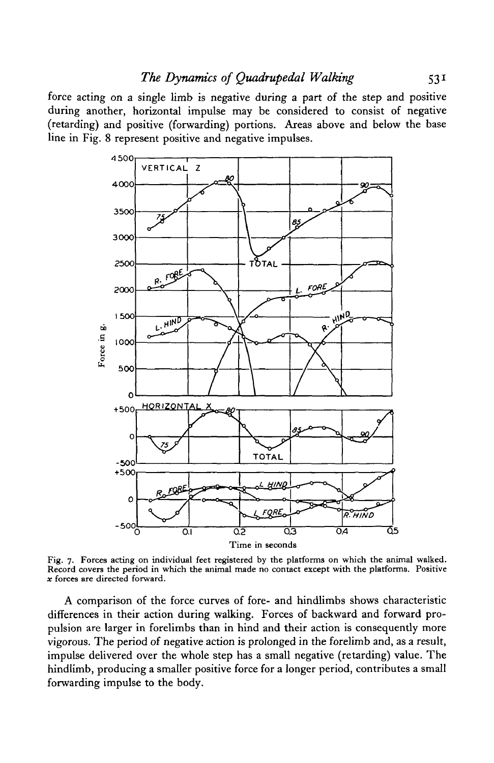force acting on a single limb is negative during a part of the step and positive during another, horizontal impulse may be considered to consist of negative (retarding) and positive (forwarding) portions. Areas above and below the base line in Fig. 8 represent positive and negative impulses.



Fig. 7. Forces acting on individual feet registered by the platforms on which the animal walked. Record covers the period in which the animal made no contact except with the platforms. Positive  $x$  forces are directed forward.

A comparison of the force curves of fore- and hindlimbs shows characteristic differences in their action during walking. Forces of backward and forward propulsion are larger in forelimbs than in hind and their action is consequently more vigorous. The period of negative action is prolonged in the forelimb and, as a result, impulse delivered over the whole step has a small negative (retarding) value. The hindlimb, producing a smaller positive force for a longer period, contributes a small forwarding impulse to the body.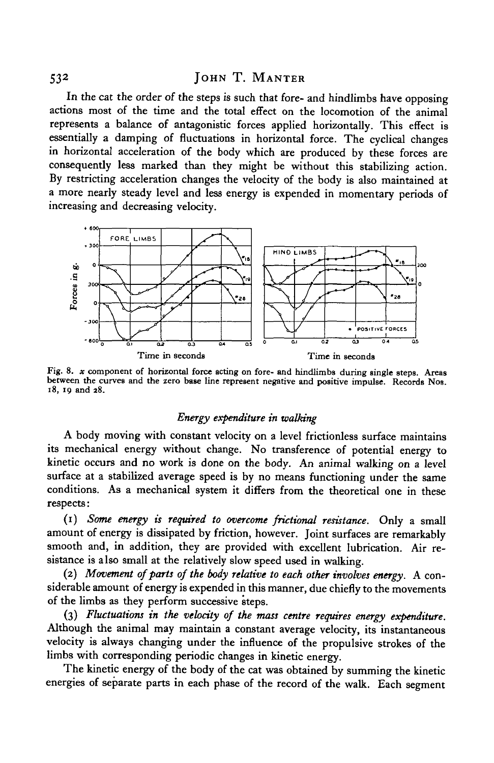53<sup>2</sup>

In the cat the order of the steps is such that fore- and hindlimbs have opposing actions most of the time and the total effect on the locomotion of the animal represents a balance of antagonistic forces applied horizontally. This effect is essentially a damping of fluctuations in horizontal force. The cyclical changes in horizontal acceleration of the body which are produced by these forces are consequently less marked than they might be without this stabilizing action. By restricting acceleration changes the velocity of the body is also maintained at a more nearly steady level and less energy is expended in momentary periods of increasing and decreasing velocity.



Fig. 8. *x* component of horizontal force acting on fore- and hindlimbs during single steps. Areas between the curves and the zero base line represent negative and positive impulse. Records Nos. 18, 19 and 28.

### *Energy expenditure in walking*

A body moving with constant velocity on a level frictionless surface maintains its mechanical energy without change. No transference of potential energy to kinetic occurs and no work is done on the body. An animal walking on a level surface at a stabilized average speed is by no means functioning under the same conditions. As a mechanical system it differs from the theoretical one in these respects:

(1) *Some energy is required to overcome frictional resistance.* Only a small amount of energy is dissipated by friction, however. Joint surfaces are remarkably smooth and, in addition, they are provided with excellent lubrication. Air resistance is also small at the relatively slow speed used in walking.

(2) *Movement of parts of the body relative to each other involves energy.* A considerable amount of energy is expended in this manner, due chiefly to the movements of the limbs as they perform successive steps.

(3) *Fluctuations in the velocity of the mass centre requires energy expenditure.* Although the animal may maintain a constant average velocity, its instantaneous velocity is always changing under the influence of the propulsive strokes of the limbs with corresponding periodic changes in kinetic energy.

The kinetic energy of the body of the cat was obtained by summing the kinetic energies of separate parts in each phase of the record of the walk. Each segment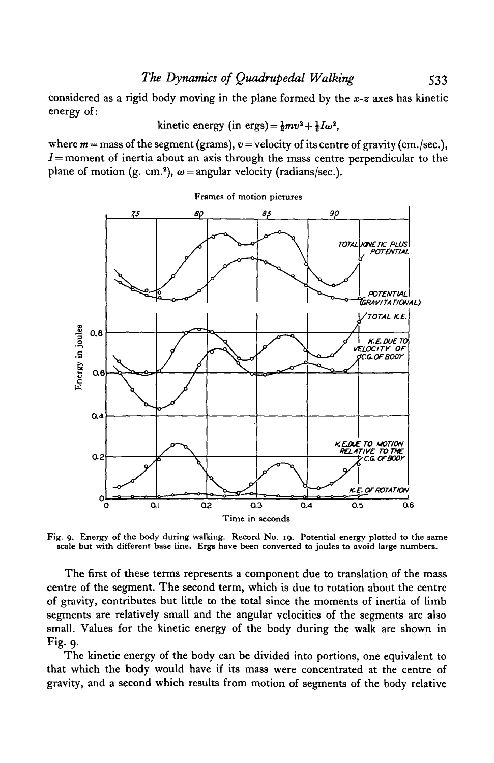,

considered as a rigid body moving in the plane formed by the *x-z* axes has kinetic energy of:

kinetic energy (in ergs) = 
$$
\frac{1}{2}mv^2 + \frac{1}{2}I\omega^2
$$
,

where  $m =$  mass of the segment (grams),  $v =$  velocity of its centre of gravity (cm./sec.),  $I$ = moment of inertia about an axis through the mass centre perpendicular to the plane of motion (g. cm.<sup>2</sup>),  $\omega$  = angular velocity (radians/sec.).



Fig. 9. Energy of the body during walking. Record No. 19. Potential energy plotted to the same scale but with different base line. Ergs have been converted to joules to avoid large numbers.

The first of these terms represents a component due to translation of the mass centre of the segment. The second term, which is due to rotation about the centre of gravity, contributes but little to the total since the moments of inertia of limb segments are relatively small and the angular velocities of the segments are also small. Values for the kinetic energy of the body during the walk are shown in Fig. 9.

The kinetic energy of the body can be divided into portions, one equivalent to that which the body would have if its mass were concentrated at the centre of gravity, and a second which results from motion of segments of the body relative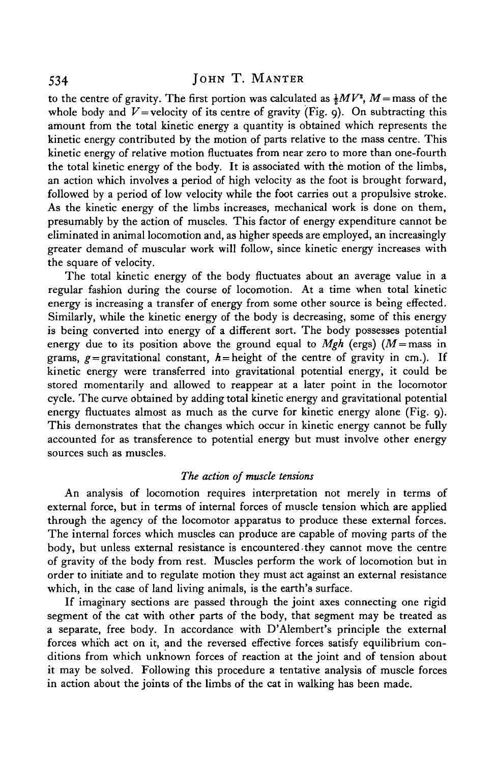to the centre of gravity. The first portion was calculated as  $\frac{1}{2}MV^2$ , M = mass of the whole body and  $V =$  velocity of its centre of gravity (Fig. 9). On subtracting this amount from the total kinetic energy a quantity is obtained which represents the kinetic energy contributed by the motion of parts relative to the mass centre. This kinetic energy of relative motion fluctuates from near zero to more than one-fourth the total kinetic energy of the body. It is associated with the motion of the limbs, an action which involves a period of high velocity as the foot is brought forward, followed by a period of low velocity while the foot carries out a propulsive stroke. As the kinetic energy of the limbs increases, mechanical work is done on them, presumably by the action of muscles. This factor of energy expenditure cannot be eliminated in animal locomotion and, as higher speeds are employed, an increasingly greater demand of muscular work will follow, since kinetic energy increases with the square of velocity.

The total kinetic energy of the body fluctuates about an average value in a regular fashion during the course of locomotion. At a time when total kinetic energy is increasing a transfer of energy from some other source is being effected. Similarly, while the kinetic energy of the body is decreasing, some of this energy is being converted into energy of a different sort. The body possesses potential energy due to its position above the ground equal to  $Mgh$  (ergs) ( $M =$ mass in grams,  $g =$  gravitational constant,  $h =$  height of the centre of gravity in cm.). If kinetic energy were transferred into gravitational potential energy, it could be stored momentarily and allowed to reappear at a later point in the locomotor cycle. The curve obtained by adding total kinetic energy and gravitational potential energy fluctuates almost as much as the curve for kinetic energy alone (Fig. 9). This demonstrates that the changes which occur in kinetic energy cannot be fully accounted for as transference to potential energy but must involve other energy sources such as muscles.

### *The action of muscle tensions*

An analysis of locomotion requires interpretation not merely in terms of external force, but in terms of internal forces of muscle tension which are applied through the agency of the locomotor apparatus to produce these external forces. The internal forces which muscles can produce are capable of moving parts of the body, but unless external resistance is encountered they cannot move the centre of gravity of the body from rest. Muscles perform the work of locomotion but in order to initiate and to regulate motion they must act against an external resistance which, in the case of land living animals, is the earth's surface.

If imaginary sections are passed through the joint axes connecting one rigid segment of the cat with other parts of the body, that segment may be treated as a separate, free body. In accordance with D'Alembert's principle the external forces which act on it, and the reversed effective forces satisfy equilibrium conditions from which unknown forces of reaction at the joint and of tension about it may be solved. Following this procedure a tentative analysis of muscle forces in action about the joints of the limbs of the cat in walking has been made.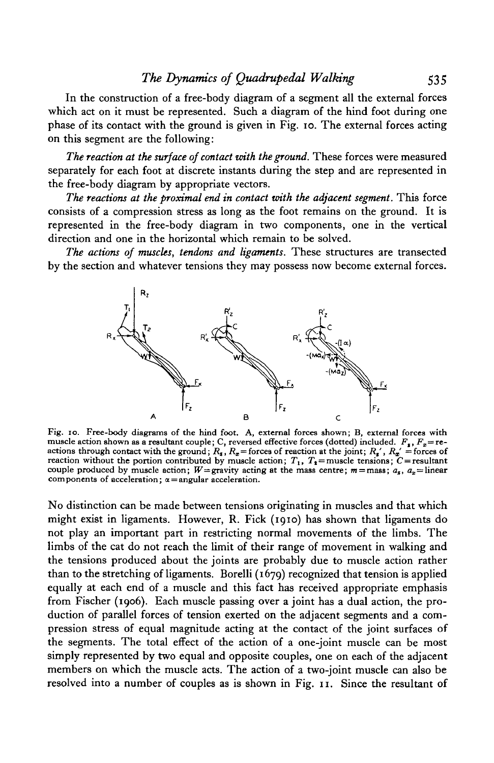In the construction of a free-body diagram of a segment all the external forces which act on it must be represented. Such a diagram of the hind foot during one phase of its contact with the ground is given in Fig. 10. The external forces acting on this segment are the following:

*The reaction at the surface of contact with the ground.* These forces were measured separately for each foot at discrete instants during the step and are represented in the free-body diagram by appropriate vectors.

*The reactions at the proximal end in contact with the adjacent segment.* This force consists of a compression stress as long as the foot remains on the ground. It is represented in the free-body diagram in two components, one in the vertical direction and one in the horizontal which remain to be solved.

*The actions of muscles, tendons and ligaments.* These structures are transected by the section and whatever tensions they may possess now become external forces.



Fig. 10. Free-body diagrams of the hind foot. A, external forces shown; B, external forces with muscle action shown as a resultant couple; C, reversed effective forces (dotted) included.  $F_s$ ,  $F_x =$  re-<br>actions through contact with the ground;  $R_s$ ,  $R_x =$  forces of reaction at the joint;  $R_s'$ ,  $R_x' =$  forces of reactions through contact with the ground;  $R_s$ ,  $R_s$  = forces of reaction at the joint;  $R_s'$ ,  $R_s'$  = forces of reaction without the portion contributed by muscle action;  $T_1$ ,  $T_2$  = muscle tensions;  $C$  = resultant couple produced by muscle action;  $W =$ gravity acting at the mass centre;  $m =$ mass;  $a_x$ ,  $a_x =$  linear components of acceleration;  $\alpha =$ angular acceleration.

No distinction can be made between tensions originating in muscles and that which might exist in ligaments. However, R. Fick (1910) has shown that ligaments do not play an important part in restricting normal movements of the limbs. The limbs of the cat do not reach the limit of their range of movement in walking and the tensions produced about the joints are probably due to muscle action rather than to the stretching of ligaments. Borelli (1679) recognized that tension is applied equally at each end of a muscle and this fact has received appropriate emphasis from Fischer (1906). Each muscle passing over a joint has a dual action, the production of parallel forces of tension exerted on the adjacent segments and a compression stress of equal magnitude acting at the contact of the joint surfaces of the segments. The total effect of the action of a one-joint muscle can be most simply represented by two equal and opposite couples, one on each of the adjacent members on which the muscle acts. The action of a two-joint muscle can also be resolved into a number of couples as is shown in Fig. 11. Since the resultant of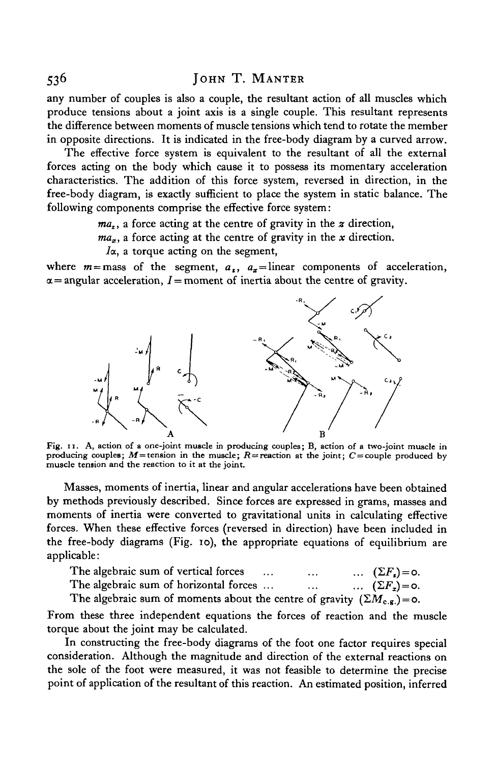any number of couples is also a couple, the resultant action of all muscles which produce tensions about a joint axis is a single couple. This resultant represents the difference between moments of muscle tensions which tend to rotate the member in opposite directions. It is indicated in the free-body diagram by a curved arrow.

The effective force system is equivalent to the resultant of all the external forces acting on the body which cause it to possess its momentary acceleration characteristics. The addition of this force system, reversed in direction, in the free-body diagram, is exactly sufficient to place the system in static balance. The following components comprise the effective force system:

*mat*, a force acting at the centre of gravity in the *z* direction,

 $ma_x$ , a force acting at the centre of gravity in the *x* direction.

*la.,* a torque acting on the segment,

where  $m =$  mass of the segment,  $a_x$ ,  $a_x =$  linear components of acceleration,  $\alpha$  = angular acceleration, *I* = moment of inertia about the centre of gravity.



Fig. 11. A, action of a one-joint muscle in producing couples; B, action of a two-joint muscle in producing couples;  $M$  = tension in the muscle;  $R$  = reaction at the joint;  $C$  = couple produced by muscle tension and the reaction to it at the joint.

Masses, moments of inertia, linear and angular accelerations have been obtained by methods previously described. Since forces are expressed in grams, masses and moments of inertia were converted to gravitational units in calculating effective forces. When these effective forces (reversed in direction) have been included in the free-body diagrams (Fig. 10), the appropriate equations of equilibrium are applicable:

| The algebraic sum of vertical forces<br>$\cdots$                                   | $\cdots$ | $\ldots$ $(\Sigma F_{\mathbf{r}}) = 0.$ |
|------------------------------------------------------------------------------------|----------|-----------------------------------------|
| The algebraic sum of horizontal forces                                             | $\cdots$ | $\ldots$ $(\Sigma F_x) = 0.$            |
| The algebraic sum of moments about the centre of gravity $(\Sigma M_{c,g.}) = 0$ . |          |                                         |

From these three independent equations the forces of reaction and the muscle torque about the joint may be calculated.

In constructing the free-body diagrams of the foot one factor requires special consideration. Although the magnitude and direction of the external reactions on the sole of the foot were measured, it was not feasible to determine the precise point of application of the resultant of this reaction. An estimated position, inferred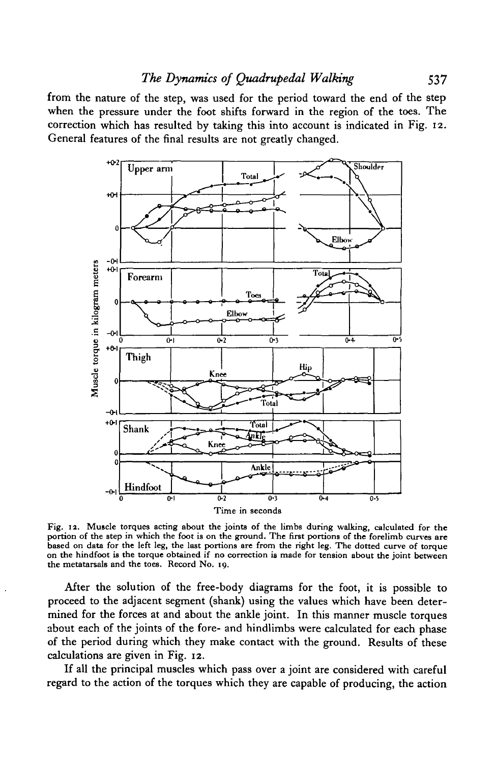from the nature of the step, was used for the period toward the end of the step when the pressure under the foot shifts forward in the region of the toes. The correction which has resulted by taking this into account is indicated in Fig. 12. General features of the final results are not greatly changed.



Fig. 12. Muscle torques acting about the joints of the limbs during walking, calculated for the portion of the step in which the foot is on the ground. The first portions of the forelimb curves are based on data for the le

After the solution of the free-body diagrams for the foot, it is possible to proceed to the adjacent segment (shank) using the values which have been determined for the forces at and about the ankle joint. In this manner muscle torques about each of the joints of the fore- and hindlimbs were calculated for each phase of the period during which they make contact with the ground. Results of these calculations are given in Fig. 12.

If all the principal muscles which pass over a joint are considered with careful regard to the action of the torques which they are capable of producing, the action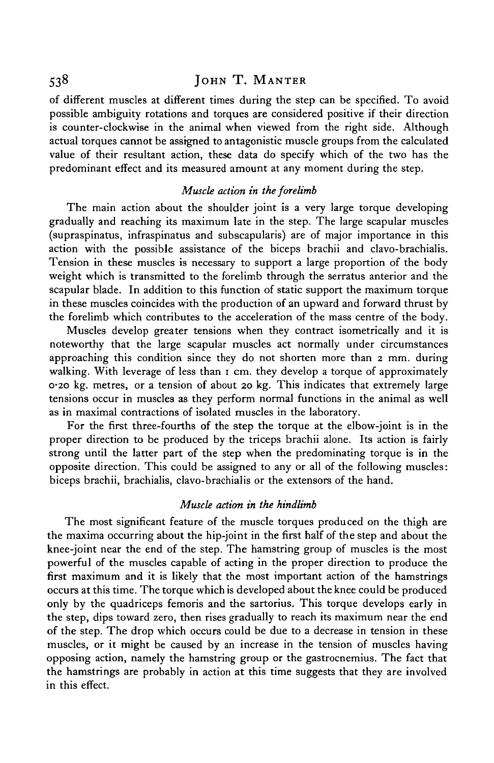of different muscles at different times during the step can be specified. To avoid possible ambiguity rotations and torques are considered positive if their direction is counter-clockwise in the animal when viewed from the right side. Although actual torques cannot be assigned to antagonistic muscle groups from the calculated value of their resultant action, these data do specify which of the two has the predominant effect and its measured amount at any moment during the step.

### *Muscle action in the forelimb*

The main action about the shoulder joint is a very large torque developing gradually and reaching its maximum late in the step. The large scapular muscles (supraspinatus, infraspinatus and subscapularis) are of major importance in this action with the possible assistance of the biceps brachii and clavo-brachialis. Tension in these muscles is necessary to support a large proportion of the body weight which is transmitted to the forelimb through the serratus anterior and the scapular blade. In addition to this function of static support the maximum torque in these muscles coincides with the production of an upward and forward thrust by the forelimb which contributes to the acceleration of the mass centre of the body.

Muscles develop greater tensions when they contract isometrically and it is noteworthy that the large scapular muscles act normally under circumstances approaching this condition since they do not shorten more than 2 mm. during walking. With leverage of less than 1 cm. they develop a torque of approximately 0-20 kg. metres, or a tension of about 20 kg. This indicates that extremely large tensions occur in muscles as they perform normal functions in the animal as well as in maximal contractions of isolated muscles in the laboratory.

For the first three-fourths of the step the torque at the elbow-joint is in the proper direction to be produced by the triceps brachii alone. Its action is fairly strong until the latter part of the step when the predominating torque is in the opposite direction. This could be assigned to any or all of the following muscles: biceps brachii, brachialis, clavo-brachialis or the extensors of the hand.

### *Muscle action in the hindlimb*

The most significant feature of the muscle torques produced on the thigh are the maxima occurring about the hip-joint in the first half of the step and about the knee-joint near the end of the step. The hamstring group of muscles is the most powerful of the muscles capable of acting in the proper direction to produce the first maximum and it is likely that the most important action of the hamstrings occurs at this time. The torque which is developed about the knee could be produced only by the quadriceps femoris and the sartorius. This torque develops early in the step, dips toward zero, then rises gradually to reach its maximum near the end of the step. The drop which occurs could be due to a decrease in tension in these muscles, or it might be caused by an increase in the tension of muscles having opposing action, namely the hamstring group or the gastrocnemius. The fact that the hamstrings are probably in action at this time suggests that they are involved in this effect.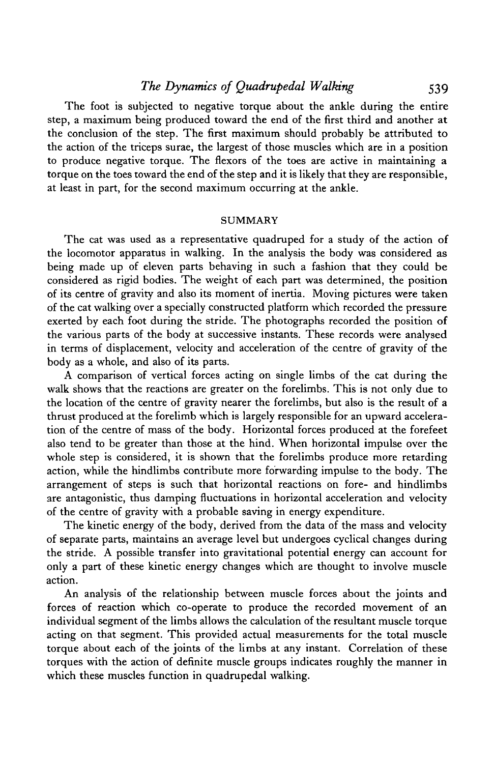# *The Dynamics of Quadrupedal Walking* 539

The foot is subjected to negative torque about the ankle during the entire step, a maximum being produced toward the end of the first third and another at the conclusion of the step. The first maximum should probably be attributed to the action of the triceps surae, the largest of those muscles which are in a position to produce negative torque. The flexors of the toes are active in maintaining a torque on the toes toward the end of the step and it is likely that they are responsible, at least in part, for the second maximum occurring at the ankle.

#### **SUMMARY**

The cat was used as a representative quadruped for a study of the action of the locomotor apparatus in walking. In the analysis the body was considered as being made up of eleven parts behaving in such a fashion that they could be considered as rigid bodies. The weight of each part was determined, the position of its centre of gravity and also its moment of inertia. Moving pictures were taken of the cat walking over a specially constructed platform which recorded the pressure exerted by each foot during the stride. The photographs recorded the position of the various parts of the body at successive instants. These records were analysed in terms of displacement, velocity and acceleration of the centre of gravity of the body as a whole, and also of its parts.

A comparison of vertical forces acting on single limbs of the cat during the walk shows that the reactions are greater on the forelimbs. This is not only due to the location of the centre of gravity nearer the forelimbs, but also is the result of a thrust produced at the forelimb which is largely responsible for an upward acceleration of the centre of mass of the body. Horizontal forces produced at the forefeet also tend to be greater than those at the hind. When horizontal impulse over the whole step is considered, it is shown that the forelimbs produce more retarding action, while the hindlimbs contribute more forwarding impulse to the body. The arrangement of steps is such that horizontal reactions on fore- and hindlimbs are antagonistic, thus damping fluctuations in horizontal acceleration and velocity of the centre of gravity with a probable saving in energy expenditure.

The kinetic energy of the body, derived from the data of the mass and velocity of separate parts, maintains an average level but undergoes cyclical changes during the stride. A possible transfer into gravitational potential energy can account for only a part of these kinetic energy changes which are thought to involve muscle action.

An analysis of the relationship between muscle forces about the joints and forces of reaction which co-operate to produce the recorded movement of an individual segment of the limbs allows the calculation of the resultant muscle torque acting on that segment. This provided actual measurements for the total muscle torque about each of the joints of the limbs at any instant. Correlation of these torques with the action of definite muscle groups indicates roughly the manner in which these muscles function in quadrupedal walking.